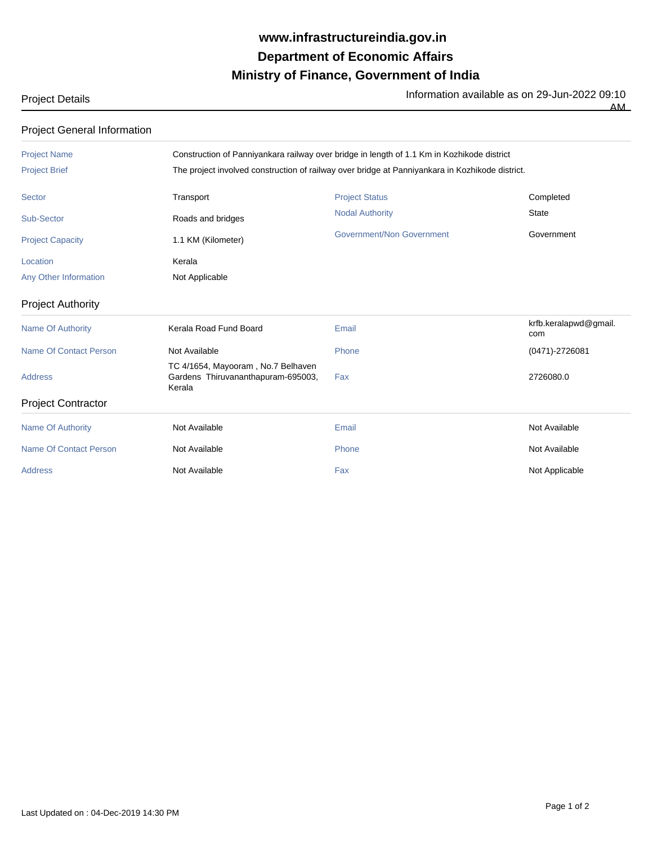## **Ministry of Finance, Government of India Department of Economic Affairs www.infrastructureindia.gov.in**

Project Details **Information available as on 29-Jun-2022 09:10** 

 $\overline{AM}$ 

Project General Information

| <b>Project Name</b>           |                                                                                                 | Construction of Panniyankara railway over bridge in length of 1.1 Km in Kozhikode district |                              |  |
|-------------------------------|-------------------------------------------------------------------------------------------------|--------------------------------------------------------------------------------------------|------------------------------|--|
| <b>Project Brief</b>          | The project involved construction of railway over bridge at Panniyankara in Kozhikode district. |                                                                                            |                              |  |
| <b>Sector</b>                 | Transport                                                                                       | <b>Project Status</b>                                                                      | Completed                    |  |
| Sub-Sector                    | Roads and bridges                                                                               | <b>Nodal Authority</b>                                                                     | <b>State</b>                 |  |
| <b>Project Capacity</b>       | 1.1 KM (Kilometer)                                                                              | Government/Non Government                                                                  | Government                   |  |
| Location                      | Kerala                                                                                          |                                                                                            |                              |  |
| Any Other Information         | Not Applicable                                                                                  |                                                                                            |                              |  |
| <b>Project Authority</b>      |                                                                                                 |                                                                                            |                              |  |
| <b>Name Of Authority</b>      | Kerala Road Fund Board                                                                          | Email                                                                                      | krfb.keralapwd@gmail.<br>com |  |
| <b>Name Of Contact Person</b> | Not Available                                                                                   | Phone                                                                                      | $(0471) - 2726081$           |  |
| <b>Address</b>                | TC 4/1654, Mayooram, No.7 Belhaven<br>Gardens Thiruvananthapuram-695003,<br>Kerala              | Fax                                                                                        | 2726080.0                    |  |
| <b>Project Contractor</b>     |                                                                                                 |                                                                                            |                              |  |
| <b>Name Of Authority</b>      | Not Available                                                                                   | Email                                                                                      | Not Available                |  |
| <b>Name Of Contact Person</b> | Not Available                                                                                   | Phone                                                                                      | Not Available                |  |
| <b>Address</b>                | Not Available                                                                                   | Fax                                                                                        | Not Applicable               |  |
|                               |                                                                                                 |                                                                                            |                              |  |